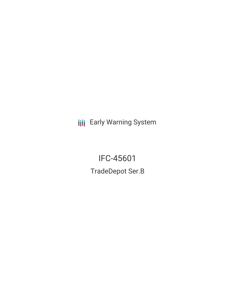**III** Early Warning System

IFC-45601 TradeDepot Ser.B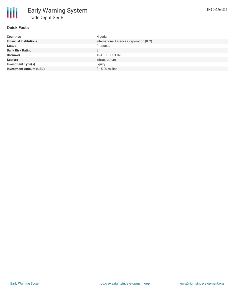

## **Quick Facts**

| <b>Countries</b>               | Nigeria                                 |
|--------------------------------|-----------------------------------------|
| <b>Financial Institutions</b>  | International Finance Corporation (IFC) |
| <b>Status</b>                  | Proposed                                |
| <b>Bank Risk Rating</b>        | B                                       |
| <b>Borrower</b>                | TRADEDEPOT INC                          |
| <b>Sectors</b>                 | Infrastructure                          |
| <b>Investment Type(s)</b>      | Equity                                  |
| <b>Investment Amount (USD)</b> | \$15.00 million                         |
|                                |                                         |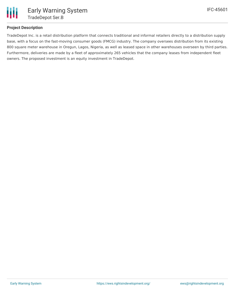

## **Project Description**

TradeDepot Inc. is a retail distribution platform that connects traditional and informal retailers directly to a distribution supply base, with a focus on the fast-moving consumer goods (FMCG) industry. The company oversees distribution from its existing 800 square meter warehouse in Oregun, Lagos, Nigeria, as well as leased space in other warehouses overseen by third parties. Furthermore, deliveries are made by a fleet of approximately 265 vehicles that the company leases from independent fleet owners. The proposed investment is an equity investment in TradeDepot.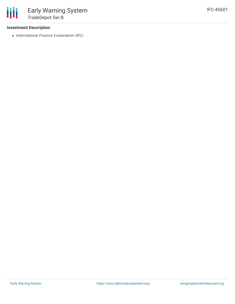## **Investment Description**

• International Finance Corporation (IFC)